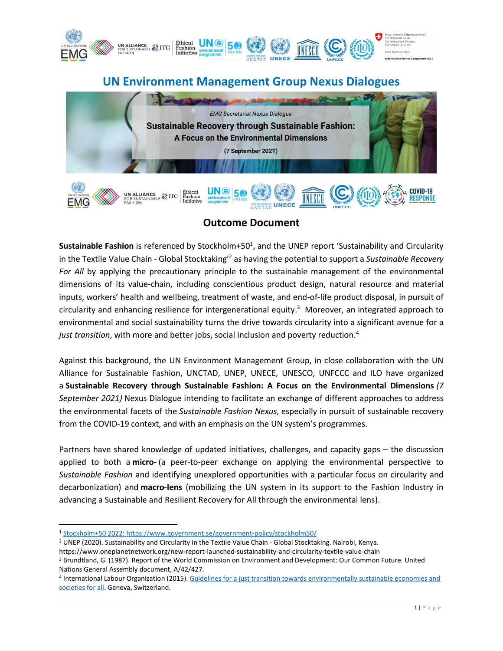

# **UN Environment Management Group Nexus Dialogues**



## **Outcome Document**

Sustainable Fashion is referenced by Stockholm+50<sup>1</sup>, and the UNEP report 'Sustainability and Circularity in the Textile Value Chain - Global Stocktaking'<sup>2</sup> as having the potential to support a *Sustainable Recovery*  For All by applying the precautionary principle to the sustainable management of the environmental dimensions of its value-chain, including conscientious product design, natural resource and material inputs, workers' health and wellbeing, treatment of waste, and end-of-life product disposal, in pursuit of circularity and enhancing resilience for intergenerational equity.<sup>3</sup> Moreover, an integrated approach to environmental and social sustainability turns the drive towards circularity into a significant avenue for a *just transition*, with more and better jobs, social inclusion and poverty reduction.<sup>4</sup>

Against this background, the UN Environment Management Group, in close collaboration with the UN Alliance for Sustainable Fashion, UNCTAD, UNEP, UNECE, UNESCO, UNFCCC and ILO have organized a **Sustainable Recovery through Sustainable Fashion: A Focus on the Environmental Dimensions** *(7 September 2021)* Nexus Dialogue intending to facilitate an exchange of different approaches to address the environmental facets of the *Sustainable Fashion Nexus,* especially in pursuit of sustainable recovery from the COVID-19 context, and with an emphasis on the UN system's programmes.

Partners have shared knowledge of updated initiatives, challenges, and capacity gaps – the discussion applied to both a **micro-** (a peer-to-peer exchange on applying the environmental perspective to *Sustainable Fashion* and identifying unexplored opportunities with a particular focus on circularity and decarbonization) and **macro-lens** (mobilizing the UN system in its support to the Fashion Industry in advancing a Sustainable and Resilient Recovery for All through the environmental lens).

<sup>1</sup> [Stockholm+50 2022: https://www.government.se/government-policy/stockholm50/](https://www.government.se/government-policy/stockholm50/)

<sup>2</sup> UNEP (2020). Sustainability and Circularity in the Textile Value Chain - Global Stocktaking. Nairobi, Kenya.

https://www.oneplanetnetwork.org/new-report-launched-sustainability-and-circularity-textile-value-chain

<sup>3</sup> Brundtland, G. (1987). Report of the World Commission on Environment and Development: Our Common Future. United Nations General Assembly document, A/42/427.

<sup>4</sup> International Labour Organization (2015)[. Guidelines for a just transition towards environmentally sustainable economies and](https://www.ilo.org/wcmsp5/groups/public/---ed_emp/---emp_ent/documents/publication/wcms_432859.pdf)  [societies for all.](https://www.ilo.org/wcmsp5/groups/public/---ed_emp/---emp_ent/documents/publication/wcms_432859.pdf) Geneva, Switzerland.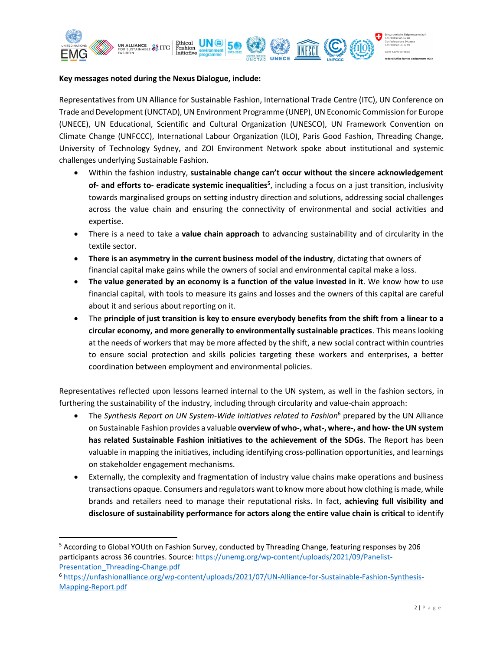

#### **Key messages noted during the Nexus Dialogue, include:**

Representatives from UN Alliance for Sustainable Fashion, International Trade Centre (ITC), UN Conference on Trade and Development (UNCTAD), UN Environment Programme (UNEP), UN Economic Commission for Europe (UNECE), UN Educational, Scientific and Cultural Organization (UNESCO), UN Framework Convention on Climate Change (UNFCCC), International Labour Organization (ILO), Paris Good Fashion, Threading Change, University of Technology Sydney, and ZOI Environment Network spoke about institutional and systemic challenges underlying Sustainable Fashion*.*

- Within the fashion industry, **sustainable change can't occur without the sincere acknowledgement of- and efforts to- eradicate systemic inequalities<sup>5</sup>** , including a focus on a just transition, inclusivity towards marginalised groups on setting industry direction and solutions, addressing social challenges across the value chain and ensuring the connectivity of environmental and social activities and expertise.
- There is a need to take a **value chain approach** to advancing sustainability and of circularity in the textile sector.
- **There is an asymmetry in the current business model of the industry**, dictating that owners of financial capital make gains while the owners of social and environmental capital make a loss.
- **The value generated by an economy is a function of the value invested in it**. We know how to use financial capital, with tools to measure its gains and losses and the owners of this capital are careful about it and serious about reporting on it.
- The **principle of just transition is key to ensure everybody benefits from the shift from a linear to a circular economy, and more generally to environmentally sustainable practices**. This means looking at the needs of workers that may be more affected by the shift, a new social contract within countries to ensure social protection and skills policies targeting these workers and enterprises, a better coordination between employment and environmental policies.

Representatives reflected upon lessons learned internal to the UN system, as well in the fashion sectors, in furthering the sustainability of the industry, including through circularity and value-chain approach:

- The *Synthesis Report on UN System-Wide Initiatives related to Fashion*<sup>6</sup> prepared by the UN Alliance on Sustainable Fashion provides a valuable **overview of who-, what-, where-, and how-the UN system has related Sustainable Fashion initiatives to the achievement of the SDGs**. The Report has been valuable in mapping the initiatives, including identifying cross-pollination opportunities, and learnings on stakeholder engagement mechanisms.
- Externally, the complexity and fragmentation of industry value chains make operations and business transactions opaque. Consumers and regulators want to know more about how clothing is made, while brands and retailers need to manage their reputational risks. In fact, **achieving full visibility and disclosure of sustainability performance for actors along the entire value chain is critical** to identify

<sup>5</sup> According to Global YOUth on Fashion Survey, conducted by Threading Change, featuring responses by 206 participants across 36 countries. Source: [https://unemg.org/wp-content/uploads/2021/09/Panelist-](https://unemg.org/wp-content/uploads/2021/09/Panelist-Presentation_Threading-Change.pdf)[Presentation\\_Threading-Change.pdf](https://unemg.org/wp-content/uploads/2021/09/Panelist-Presentation_Threading-Change.pdf)

<sup>6</sup> [https://unfashionalliance.org/wp-content/uploads/2021/07/UN-Alliance-for-Sustainable-Fashion-Synthesis-](https://unfashionalliance.org/wp-content/uploads/2021/07/UN-Alliance-for-Sustainable-Fashion-Synthesis-Mapping-Report.pdf)[Mapping-Report.pdf](https://unfashionalliance.org/wp-content/uploads/2021/07/UN-Alliance-for-Sustainable-Fashion-Synthesis-Mapping-Report.pdf)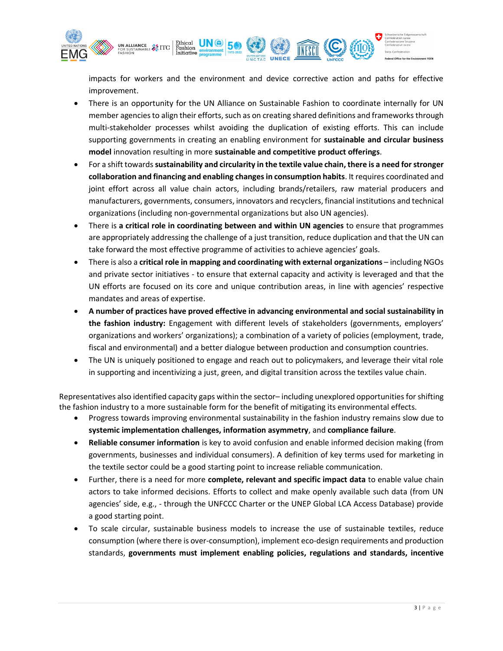

impacts for workers and the environment and device corrective action and paths for effective improvement.

- There is an opportunity for the UN Alliance on Sustainable Fashion to coordinate internally for UN member agencies to align their efforts, such as on creating shared definitions and frameworks through multi-stakeholder processes whilst avoiding the duplication of existing efforts. This can include supporting governments in creating an enabling environment for **sustainable and circular business model** innovation resulting in more **sustainable and competitive product offerings**.
- For a shift towards **sustainability and circularity in the textile value chain, there is a need forstronger collaboration and financing and enabling changes in consumption habits**. It requires coordinated and joint effort across all value chain actors, including brands/retailers, raw material producers and manufacturers, governments, consumers, innovators and recyclers, financial institutions and technical organizations (including non-governmental organizations but also UN agencies).
- There is **a critical role in coordinating between and within UN agencies** to ensure that programmes are appropriately addressing the challenge of a just transition, reduce duplication and that the UN can take forward the most effective programme of activities to achieve agencies' goals.
- There is also a **critical role in mapping and coordinating with external organizations** including NGOs and private sector initiatives - to ensure that external capacity and activity is leveraged and that the UN efforts are focused on its core and unique contribution areas, in line with agencies' respective mandates and areas of expertise.
- **A number of practices have proved effective in advancing environmental and social sustainability in the fashion industry:** Engagement with different levels of stakeholders (governments, employers' organizations and workers' organizations); a combination of a variety of policies (employment, trade, fiscal and environmental) and a better dialogue between production and consumption countries.
- The UN is uniquely positioned to engage and reach out to policymakers, and leverage their vital role in supporting and incentivizing a just, green, and digital transition across the textiles value chain.

Representatives also identified capacity gaps within the sector– including unexplored opportunities for shifting the fashion industry to a more sustainable form for the benefit of mitigating its environmental effects.

- Progress towards improving environmental sustainability in the fashion industry remains slow due to **systemic implementation challenges, information asymmetry**, and **compliance failure**.
- **Reliable consumer information** is key to avoid confusion and enable informed decision making (from governments, businesses and individual consumers). A definition of key terms used for marketing in the textile sector could be a good starting point to increase reliable communication.
- Further, there is a need for more **complete, relevant and specific impact data** to enable value chain actors to take informed decisions. Efforts to collect and make openly available such data (from UN agencies' side, e.g., - through the UNFCCC Charter or the UNEP Global LCA Access Database) provide a good starting point.
- To scale circular, sustainable business models to increase the use of sustainable textiles, reduce consumption (where there is over-consumption), implement eco-design requirements and production standards, **governments must implement enabling policies, regulations and standards, incentive**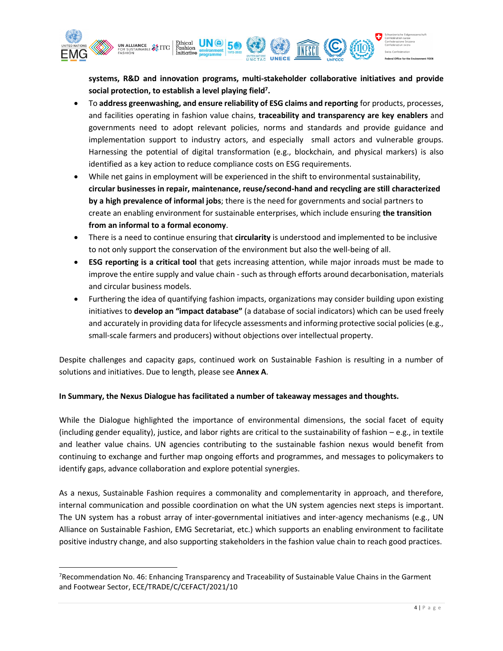

**systems, R&D and innovation programs, multi-stakeholder collaborative initiatives and provide social protection, to establish a level playing field<sup>7</sup> .**

- To **address greenwashing, and ensure reliability of ESG claims and reporting** for products, processes, and facilities operating in fashion value chains, **traceability and transparency are key enablers** and governments need to adopt relevant policies, norms and standards and provide guidance and implementation support to industry actors, and especially small actors and vulnerable groups. Harnessing the potential of digital transformation (e.g., blockchain, and physical markers) is also identified as a key action to reduce compliance costs on ESG requirements.
- While net gains in employment will be experienced in the shift to environmental sustainability, **circular businesses in repair, maintenance, reuse/second-hand and recycling are still characterized by a high prevalence of informal jobs**; there is the need for governments and social partners to create an enabling environment for sustainable enterprises, which include ensuring **the transition from an informal to a formal economy**.
- There is a need to continue ensuring that **circularity** is understood and implemented to be inclusive to not only support the conservation of the environment but also the well-being of all.
- **ESG reporting is a critical tool** that gets increasing attention, while major inroads must be made to improve the entire supply and value chain - such asthrough efforts around decarbonisation, materials and circular business models.
- Furthering the idea of quantifying fashion impacts, organizations may consider building upon existing initiatives to **develop an "impact database"** (a database of social indicators) which can be used freely and accurately in providing data for lifecycle assessments and informing protective social policies (e.g., small-scale farmers and producers) without objections over intellectual property.

Despite challenges and capacity gaps, continued work on Sustainable Fashion is resulting in a number of solutions and initiatives. Due to length, please see **Annex A**.

## **In Summary, the Nexus Dialogue has facilitated a number of takeaway messages and thoughts.**

While the Dialogue highlighted the importance of environmental dimensions, the social facet of equity (including gender equality), justice, and labor rights are critical to the sustainability of fashion – e.g., in textile and leather value chains. UN agencies contributing to the sustainable fashion nexus would benefit from continuing to exchange and further map ongoing efforts and programmes, and messages to policymakers to identify gaps, advance collaboration and explore potential synergies.

As a nexus, Sustainable Fashion requires a commonality and complementarity in approach, and therefore, internal communication and possible coordination on what the UN system agencies next steps is important. The UN system has a robust array of inter-governmental initiatives and inter-agency mechanisms (e.g., UN Alliance on Sustainable Fashion, EMG Secretariat, etc.) which supports an enabling environment to facilitate positive industry change, and also supporting stakeholders in the fashion value chain to reach good practices.

<sup>7</sup>Recommendation No. 46: Enhancing Transparency and Traceability of Sustainable Value Chains in the Garment and Footwear Sector, ECE/TRADE/C/CEFACT/2021/10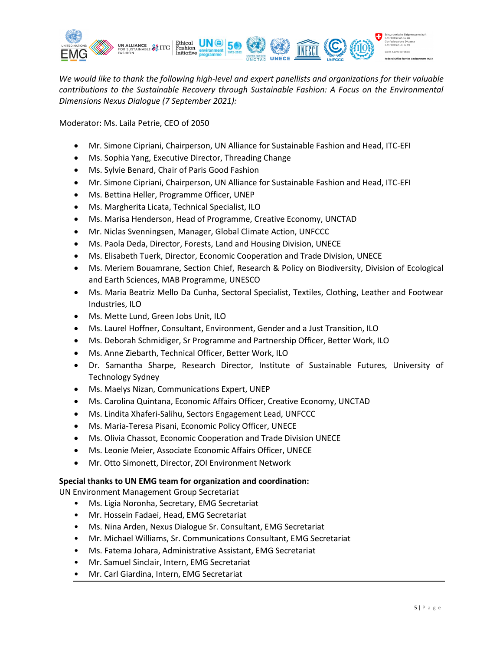

*We would like to thank the following high-level and expert panellists and organizations for their valuable contributions to the Sustainable Recovery through Sustainable Fashion: A Focus on the Environmental Dimensions Nexus Dialogue (7 September 2021):*

Moderator: Ms. Laila Petrie, CEO of 2050

- Mr. Simone Cipriani, Chairperson, UN Alliance for Sustainable Fashion and Head, ITC-EFI
- Ms. Sophia Yang, Executive Director, Threading Change
- Ms. Sylvie Benard, Chair of Paris Good Fashion
- Mr. Simone Cipriani, Chairperson, UN Alliance for Sustainable Fashion and Head, ITC-EFI
- Ms. Bettina Heller, Programme Officer, UNEP
- Ms. Margherita Licata, Technical Specialist, ILO
- Ms. Marisa Henderson, Head of Programme, Creative Economy, UNCTAD
- Mr. Niclas Svenningsen, Manager, Global Climate Action, UNFCCC
- Ms. Paola Deda, Director, Forests, Land and Housing Division, UNECE
- Ms. Elisabeth Tuerk, Director, Economic Cooperation and Trade Division, UNECE
- Ms. Meriem Bouamrane, Section Chief, Research & Policy on Biodiversity, Division of Ecological and Earth Sciences, MAB Programme, UNESCO
- Ms. Maria Beatriz Mello Da Cunha, Sectoral Specialist, Textiles, Clothing, Leather and Footwear Industries, ILO
- Ms. Mette Lund, Green Jobs Unit, ILO
- Ms. Laurel Hoffner, Consultant, Environment, Gender and a Just Transition, ILO
- Ms. Deborah Schmidiger, Sr Programme and Partnership Officer, Better Work, ILO
- Ms. Anne Ziebarth, Technical Officer, Better Work, ILO
- Dr. Samantha Sharpe, Research Director, Institute of Sustainable Futures, University of Technology Sydney
- Ms. Maelys Nizan, Communications Expert, UNEP
- Ms. Carolina Quintana, Economic Affairs Officer, Creative Economy, UNCTAD
- Ms. Lindita Xhaferi-Salihu, Sectors Engagement Lead, UNFCCC
- Ms. Maria-Teresa Pisani, Economic Policy Officer, UNECE
- Ms. Olivia Chassot, Economic Cooperation and Trade Division UNECE
- Ms. Leonie Meier, Associate Economic Affairs Officer, UNECE
- Mr. Otto Simonett, Director, ZOI Environment Network

#### **Special thanks to UN EMG team for organization and coordination:**

UN Environment Management Group Secretariat

- Ms. Ligia Noronha, Secretary, EMG Secretariat
- Mr. Hossein Fadaei, Head, EMG Secretariat
- Ms. Nina Arden, Nexus Dialogue Sr. Consultant, EMG Secretariat
- Mr. Michael Williams, Sr. Communications Consultant, EMG Secretariat
- Ms. Fatema Johara, Administrative Assistant, EMG Secretariat
- Mr. Samuel Sinclair, Intern, EMG Secretariat
- Mr. Carl Giardina, Intern, EMG Secretariat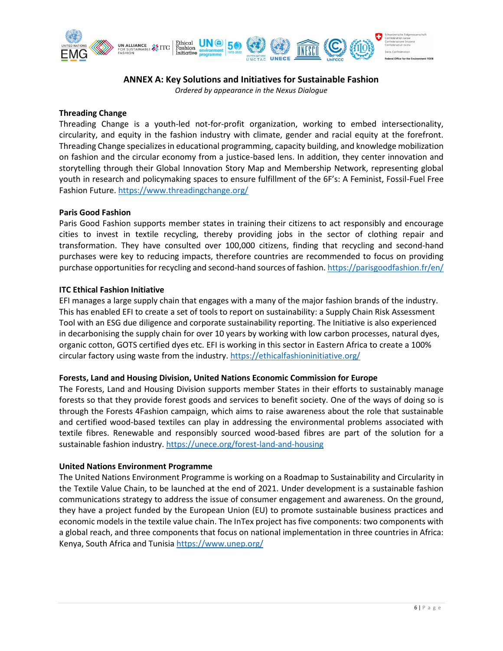

## **ANNEX A: Key Solutions and Initiatives for Sustainable Fashion**

*Ordered by appearance in the Nexus Dialogue*

#### **Threading Change**

Threading Change is a youth-led not-for-profit organization, working to embed intersectionality, circularity, and equity in the fashion industry with climate, gender and racial equity at the forefront. Threading Change specializes in educational programming, capacity building, and knowledge mobilization on fashion and the circular economy from a justice-based lens. In addition, they center innovation and storytelling through their Global Innovation Story Map and Membership Network, representing global youth in research and policymaking spaces to ensure fulfillment of the 6F's: A Feminist, Fossil-Fuel Free Fashion Future. <https://www.threadingchange.org/>

#### **Paris Good Fashion**

Paris Good Fashion supports member states in training their citizens to act responsibly and encourage cities to invest in textile recycling, thereby providing jobs in the sector of clothing repair and transformation. They have consulted over 100,000 citizens, finding that recycling and second-hand purchases were key to reducing impacts, therefore countries are recommended to focus on providing purchase opportunities for recycling and second-hand sources of fashion. <https://parisgoodfashion.fr/en/>

#### **ITC Ethical Fashion Initiative**

EFI manages a large supply chain that engages with a many of the major fashion brands of the industry. This has enabled EFI to create a set of tools to report on sustainability: a Supply Chain Risk Assessment Tool with an ESG due diligence and corporate sustainability reporting. The Initiative is also experienced in decarbonising the supply chain for over 10 years by working with low carbon processes, natural dyes, organic cotton, GOTS certified dyes etc. EFI is working in this sector in Eastern Africa to create a 100% circular factory using waste from the industry. <https://ethicalfashioninitiative.org/>

#### **Forests, Land and Housing Division, United Nations Economic Commission for Europe**

The Forests, Land and Housing Division supports member States in their efforts to sustainably manage forests so that they provide forest goods and services to benefit society. One of the ways of doing so is through the Forests 4Fashion campaign, which aims to raise awareness about the role that sustainable and certified wood-based textiles can play in addressing the environmental problems associated with textile fibres. Renewable and responsibly sourced wood-based fibres are part of the solution for a sustainable fashion industry. <https://unece.org/forest-land-and-housing>

#### **United Nations Environment Programme**

The United Nations Environment Programme is working on a Roadmap to Sustainability and Circularity in the Textile Value Chain, to be launched at the end of 2021. Under development is a sustainable fashion communications strategy to address the issue of consumer engagement and awareness. On the ground, they have a project funded by the European Union (EU) to promote sustainable business practices and economic models in the textile value chain. The InTex project has five components: two components with a global reach, and three components that focus on national implementation in three countries in Africa: Kenya, South Africa and Tunisia <https://www.unep.org/>